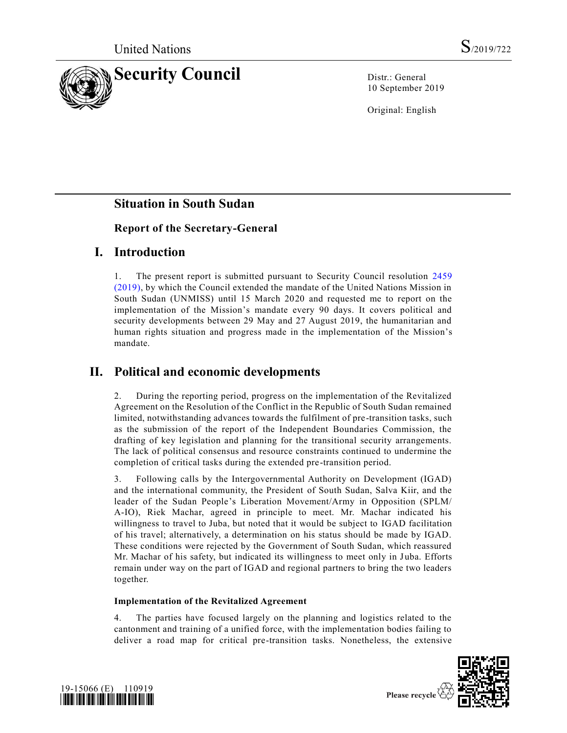

10 September 2019

Original: English

## **Situation in South Sudan**

### **Report of the Secretary-General**

## **I. Introduction**

1. The present report is submitted pursuant to Security Council resolution [2459](https://undocs.org/en/S/RES/2459%20(2019))  [\(2019\),](https://undocs.org/en/S/RES/2459%20(2019)) by which the Council extended the mandate of the United Nations Mission in South Sudan (UNMISS) until 15 March 2020 and requested me to report on the implementation of the Mission's mandate every 90 days. It covers political and security developments between 29 May and 27 August 2019, the humanitarian and human rights situation and progress made in the implementation of the Mission's mandate.

# **II. Political and economic developments**

2. During the reporting period, progress on the implementation of the Revitalized Agreement on the Resolution of the Conflict in the Republic of South Sudan remained limited, notwithstanding advances towards the fulfilment of pre-transition tasks, such as the submission of the report of the Independent Boundaries Commission, the drafting of key legislation and planning for the transitional security arrangements. The lack of political consensus and resource constraints continued to undermine the completion of critical tasks during the extended pre-transition period.

3. Following calls by the Intergovernmental Authority on Development (IGAD) and the international community, the President of South Sudan, Salva Kiir, and the leader of the Sudan People's Liberation Movement/Army in Opposition (SPLM/ A-IO), Riek Machar, agreed in principle to meet. Mr. Machar indicated his willingness to travel to Juba, but noted that it would be subject to IGAD facilitation of his travel; alternatively, a determination on his status should be made by IGAD. These conditions were rejected by the Government of South Sudan, which reassured Mr. Machar of his safety, but indicated its willingness to meet only in Juba. Efforts remain under way on the part of IGAD and regional partners to bring the two leaders together.

### **Implementation of the Revitalized Agreement**

The parties have focused largely on the planning and logistics related to the cantonment and training of a unified force, with the implementation bodies failing to deliver a road map for critical pre-transition tasks. Nonetheless, the extensive



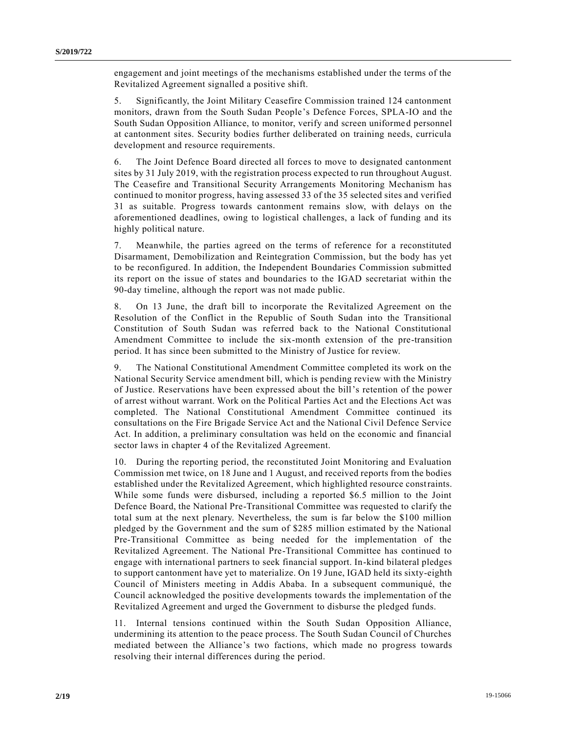engagement and joint meetings of the mechanisms established under the terms of the Revitalized Agreement signalled a positive shift.

5. Significantly, the Joint Military Ceasefire Commission trained 124 cantonment monitors, drawn from the South Sudan People's Defence Forces, SPLA-IO and the South Sudan Opposition Alliance, to monitor, verify and screen uniformed personnel at cantonment sites. Security bodies further deliberated on training needs, curricula development and resource requirements.

6. The Joint Defence Board directed all forces to move to designated cantonment sites by 31 July 2019, with the registration process expected to run throughout August. The Ceasefire and Transitional Security Arrangements Monitoring Mechanism has continued to monitor progress, having assessed 33 of the 35 selected sites and verified 31 as suitable. Progress towards cantonment remains slow, with delays on the aforementioned deadlines, owing to logistical challenges, a lack of funding and its highly political nature.

7. Meanwhile, the parties agreed on the terms of reference for a reconstituted Disarmament, Demobilization and Reintegration Commission, but the body has yet to be reconfigured. In addition, the Independent Boundaries Commission submitted its report on the issue of states and boundaries to the IGAD secretariat within the 90-day timeline, although the report was not made public.

8. On 13 June, the draft bill to incorporate the Revitalized Agreement on the Resolution of the Conflict in the Republic of South Sudan into the Transitional Constitution of South Sudan was referred back to the National Constitutional Amendment Committee to include the six-month extension of the pre-transition period. It has since been submitted to the Ministry of Justice for review.

9. The National Constitutional Amendment Committee completed its work on the National Security Service amendment bill, which is pending review with the Ministry of Justice. Reservations have been expressed about the bill's retention of the power of arrest without warrant. Work on the Political Parties Act and the Elections Act was completed. The National Constitutional Amendment Committee continued its consultations on the Fire Brigade Service Act and the National Civil Defence Service Act. In addition, a preliminary consultation was held on the economic and financial sector laws in chapter 4 of the Revitalized Agreement.

10. During the reporting period, the reconstituted Joint Monitoring and Evaluation Commission met twice, on 18 June and 1 August, and received reports from the bodies established under the Revitalized Agreement, which highlighted resource constraints. While some funds were disbursed, including a reported \$6.5 million to the Joint Defence Board, the National Pre-Transitional Committee was requested to clarify the total sum at the next plenary. Nevertheless, the sum is far below the \$100 million pledged by the Government and the sum of \$285 million estimated by the National Pre-Transitional Committee as being needed for the implementation of the Revitalized Agreement. The National Pre-Transitional Committee has continued to engage with international partners to seek financial support. In-kind bilateral pledges to support cantonment have yet to materialize. On 19 June, IGAD held its sixty-eighth Council of Ministers meeting in Addis Ababa. In a subsequent communiqué, the Council acknowledged the positive developments towards the implementation of the Revitalized Agreement and urged the Government to disburse the pledged funds.

11. Internal tensions continued within the South Sudan Opposition Alliance, undermining its attention to the peace process. The South Sudan Council of Churches mediated between the Alliance's two factions, which made no progress towards resolving their internal differences during the period.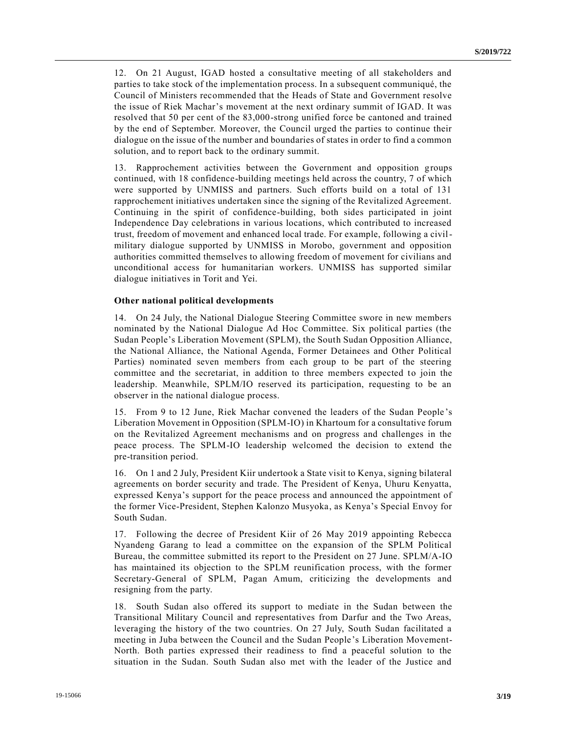12. On 21 August, IGAD hosted a consultative meeting of all stakeholders and parties to take stock of the implementation process. In a subsequent communiqué, the Council of Ministers recommended that the Heads of State and Government resolve the issue of Riek Machar's movement at the next ordinary summit of IGAD. It was resolved that 50 per cent of the 83,000-strong unified force be cantoned and trained by the end of September. Moreover, the Council urged the parties to continue their dialogue on the issue of the number and boundaries of states in order to find a common solution, and to report back to the ordinary summit.

13. Rapprochement activities between the Government and opposition groups continued, with 18 confidence-building meetings held across the country, 7 of which were supported by UNMISS and partners. Such efforts build on a total of 131 rapprochement initiatives undertaken since the signing of the Revitalized Agreement. Continuing in the spirit of confidence-building, both sides participated in joint Independence Day celebrations in various locations, which contributed to increased trust, freedom of movement and enhanced local trade. For example, following a civilmilitary dialogue supported by UNMISS in Morobo, government and opposition authorities committed themselves to allowing freedom of movement for civilians and unconditional access for humanitarian workers. UNMISS has supported similar dialogue initiatives in Torit and Yei.

#### **Other national political developments**

14. On 24 July, the National Dialogue Steering Committee swore in new members nominated by the National Dialogue Ad Hoc Committee. Six political parties (the Sudan People's Liberation Movement (SPLM), the South Sudan Opposition Alliance, the National Alliance, the National Agenda, Former Detainees and Other Political Parties) nominated seven members from each group to be part of the steering committee and the secretariat, in addition to three members expected to join the leadership. Meanwhile, SPLM/IO reserved its participation, requesting to be an observer in the national dialogue process.

15. From 9 to 12 June, Riek Machar convened the leaders of the Sudan People 's Liberation Movement in Opposition (SPLM-IO) in Khartoum for a consultative forum on the Revitalized Agreement mechanisms and on progress and challenges in the peace process. The SPLM-IO leadership welcomed the decision to extend the pre-transition period.

16. On 1 and 2 July, President Kiir undertook a State visit to Kenya, signing bilateral agreements on border security and trade. The President of Kenya, Uhuru Kenyatta, expressed Kenya's support for the peace process and announced the appointment of the former Vice-President, Stephen Kalonzo Musyoka, as Kenya's Special Envoy for South Sudan.

17. Following the decree of President Kiir of 26 May 2019 appointing Rebecca Nyandeng Garang to lead a committee on the expansion of the SPLM Political Bureau, the committee submitted its report to the President on 27 June. SPLM/A-IO has maintained its objection to the SPLM reunification process, with the former Secretary-General of SPLM, Pagan Amum, criticizing the developments and resigning from the party.

18. South Sudan also offered its support to mediate in the Sudan between the Transitional Military Council and representatives from Darfur and the Two Areas, leveraging the history of the two countries. On 27 July, South Sudan facilitated a meeting in Juba between the Council and the Sudan People's Liberation Movement-North. Both parties expressed their readiness to find a peaceful solution to the situation in the Sudan. South Sudan also met with the leader of the Justice and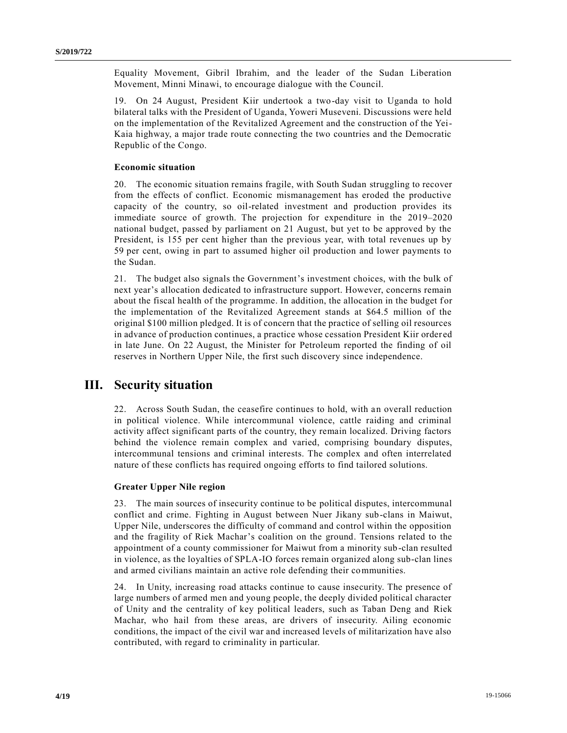Equality Movement, Gibril Ibrahim, and the leader of the Sudan Liberation Movement, Minni Minawi, to encourage dialogue with the Council.

19. On 24 August, President Kiir undertook a two-day visit to Uganda to hold bilateral talks with the President of Uganda, Yoweri Museveni. Discussions were held on the implementation of the Revitalized Agreement and the construction of the Yei-Kaia highway, a major trade route connecting the two countries and the Democratic Republic of the Congo.

#### **Economic situation**

20. The economic situation remains fragile, with South Sudan struggling to recover from the effects of conflict. Economic mismanagement has eroded the productive capacity of the country, so oil-related investment and production provides its immediate source of growth. The projection for expenditure in the 2019–2020 national budget, passed by parliament on 21 August, but yet to be approved by the President, is 155 per cent higher than the previous year, with total revenues up by 59 per cent, owing in part to assumed higher oil production and lower payments to the Sudan.

21. The budget also signals the Government's investment choices, with the bulk of next year's allocation dedicated to infrastructure support. However, concerns remain about the fiscal health of the programme. In addition, the allocation in the budget for the implementation of the Revitalized Agreement stands at \$64.5 million of the original \$100 million pledged. It is of concern that the practice of selling oil resources in advance of production continues, a practice whose cessation President Kiir order ed in late June. On 22 August, the Minister for Petroleum reported the finding of oil reserves in Northern Upper Nile, the first such discovery since independence.

### **III. Security situation**

22. Across South Sudan, the ceasefire continues to hold, with an overall reduction in political violence. While intercommunal violence, cattle raiding and criminal activity affect significant parts of the country, they remain localized. Driving factors behind the violence remain complex and varied, comprising boundary disputes, intercommunal tensions and criminal interests. The complex and often interrelated nature of these conflicts has required ongoing efforts to find tailored solutions.

#### **Greater Upper Nile region**

23. The main sources of insecurity continue to be political disputes, intercommunal conflict and crime. Fighting in August between Nuer Jikany sub-clans in Maiwut, Upper Nile, underscores the difficulty of command and control within the opposition and the fragility of Riek Machar's coalition on the ground. Tensions related to the appointment of a county commissioner for Maiwut from a minority sub-clan resulted in violence, as the loyalties of SPLA-IO forces remain organized along sub-clan lines and armed civilians maintain an active role defending their communities.

24. In Unity, increasing road attacks continue to cause insecurity. The presence of large numbers of armed men and young people, the deeply divided political character of Unity and the centrality of key political leaders, such as Taban Deng and Riek Machar, who hail from these areas, are drivers of insecurity. Ailing economic conditions, the impact of the civil war and increased levels of militarization have also contributed, with regard to criminality in particular.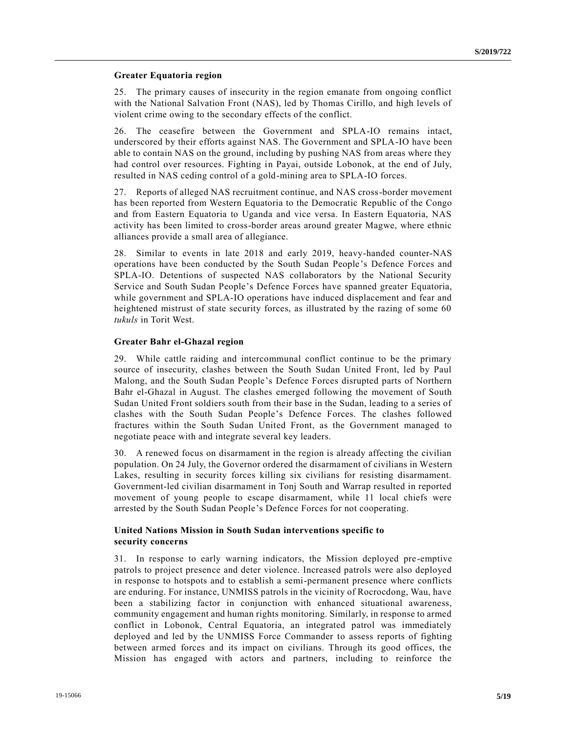#### **Greater Equatoria region**

25. The primary causes of insecurity in the region emanate from ongoing conflict with the National Salvation Front (NAS), led by Thomas Cirillo, and high levels of violent crime owing to the secondary effects of the conflict.

26. The ceasefire between the Government and SPLA-IO remains intact, underscored by their efforts against NAS. The Government and SPLA-IO have been able to contain NAS on the ground, including by pushing NAS from areas where they had control over resources. Fighting in Payai, outside Lobonok, at the end of July, resulted in NAS ceding control of a gold-mining area to SPLA-IO forces.

27. Reports of alleged NAS recruitment continue, and NAS cross-border movement has been reported from Western Equatoria to the Democratic Republic of the Congo and from Eastern Equatoria to Uganda and vice versa. In Eastern Equatoria, NAS activity has been limited to cross-border areas around greater Magwe, where ethnic alliances provide a small area of allegiance.

28. Similar to events in late 2018 and early 2019, heavy-handed counter-NAS operations have been conducted by the South Sudan People's Defence Forces and SPLA-IO. Detentions of suspected NAS collaborators by the National Security Service and South Sudan People's Defence Forces have spanned greater Equatoria, while government and SPLA-IO operations have induced displacement and fear and heightened mistrust of state security forces, as illustrated by the razing of some 60 *tukuls* in Torit West.

#### **Greater Bahr el-Ghazal region**

29. While cattle raiding and intercommunal conflict continue to be the primary source of insecurity, clashes between the South Sudan United Front, led by Paul Malong, and the South Sudan People's Defence Forces disrupted parts of Northern Bahr el-Ghazal in August. The clashes emerged following the movement of South Sudan United Front soldiers south from their base in the Sudan, leading to a series of clashes with the South Sudan People's Defence Forces. The clashes followed fractures within the South Sudan United Front, as the Government managed to negotiate peace with and integrate several key leaders.

30. A renewed focus on disarmament in the region is already affecting the civilian population. On 24 July, the Governor ordered the disarmament of civilians in Western Lakes, resulting in security forces killing six civilians for resisting disarmament. Government-led civilian disarmament in Tonj South and Warrap resulted in reported movement of young people to escape disarmament, while 11 local chiefs were arrested by the South Sudan People's Defence Forces for not cooperating.

### **United Nations Mission in South Sudan interventions specific to security concerns**

31. In response to early warning indicators, the Mission deployed pre -emptive patrols to project presence and deter violence. Increased patrols were also deployed in response to hotspots and to establish a semi-permanent presence where conflicts are enduring. For instance, UNMISS patrols in the vicinity of Rocrocdong, Wau, have been a stabilizing factor in conjunction with enhanced situational awareness, community engagement and human rights monitoring. Similarly, in response to armed conflict in Lobonok, Central Equatoria, an integrated patrol was immediately deployed and led by the UNMISS Force Commander to assess reports of fighting between armed forces and its impact on civilians. Through its good offices, the Mission has engaged with actors and partners, including to reinforce the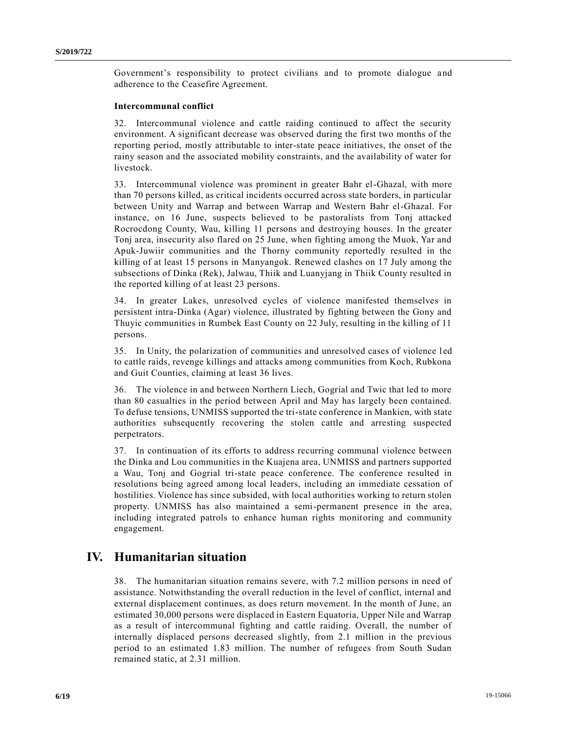Government's responsibility to protect civilians and to promote dialogue and adherence to the Ceasefire Agreement.

#### **Intercommunal conflict**

32. Intercommunal violence and cattle raiding continued to affect the security environment. A significant decrease was observed during the first two months of the reporting period, mostly attributable to inter-state peace initiatives, the onset of the rainy season and the associated mobility constraints, and the availability of water for livestock.

33. Intercommunal violence was prominent in greater Bahr el-Ghazal, with more than 70 persons killed, as critical incidents occurred across state borders, in particular between Unity and Warrap and between Warrap and Western Bahr el-Ghazal. For instance, on 16 June, suspects believed to be pastoralists from Tonj attacked Rocrocdong County, Wau, killing 11 persons and destroying houses. In the greater Tonj area, insecurity also flared on 25 June, when fighting among the Muok, Yar and Apuk-Juwiir communities and the Thorny community reportedly resulted in the killing of at least 15 persons in Manyangok. Renewed clashes on 17 July among the subsections of Dinka (Rek), Jalwau, Thiik and Luanyjang in Thiik County resulted in the reported killing of at least 23 persons.

34. In greater Lakes, unresolved cycles of violence manifested themselves in persistent intra-Dinka (Agar) violence, illustrated by fighting between the Gony and Thuyic communities in Rumbek East County on 22 July, resulting in the killing of 11 persons.

35. In Unity, the polarization of communities and unresolved cases of violence l ed to cattle raids, revenge killings and attacks among communities from Koch, Rubkona and Guit Counties, claiming at least 36 lives.

36. The violence in and between Northern Liech, Gogrial and Twic that led to more than 80 casualties in the period between April and May has largely been contained. To defuse tensions, UNMISS supported the tri-state conference in Mankien, with state authorities subsequently recovering the stolen cattle and arresting suspected perpetrators.

37. In continuation of its efforts to address recurring communal violence between the Dinka and Lou communities in the Kuajena area, UNMISS and partners supported a Wau, Tonj and Gogrial tri-state peace conference. The conference resulted in resolutions being agreed among local leaders, including an immediate cessation of hostilities. Violence has since subsided, with local authorities working to return stolen property. UNMISS has also maintained a semi-permanent presence in the area, including integrated patrols to enhance human rights monitoring and community engagement.

### **IV. Humanitarian situation**

38. The humanitarian situation remains severe, with 7.2 million persons in need of assistance. Notwithstanding the overall reduction in the level of conflict, internal and external displacement continues, as does return movement. In the month of June, an estimated 30,000 persons were displaced in Eastern Equatoria, Upper Nile and Warrap as a result of intercommunal fighting and cattle raiding. Overall, the number of internally displaced persons decreased slightly, from 2.1 million in the previous period to an estimated 1.83 million. The number of refugees from South Sudan remained static, at 2.31 million.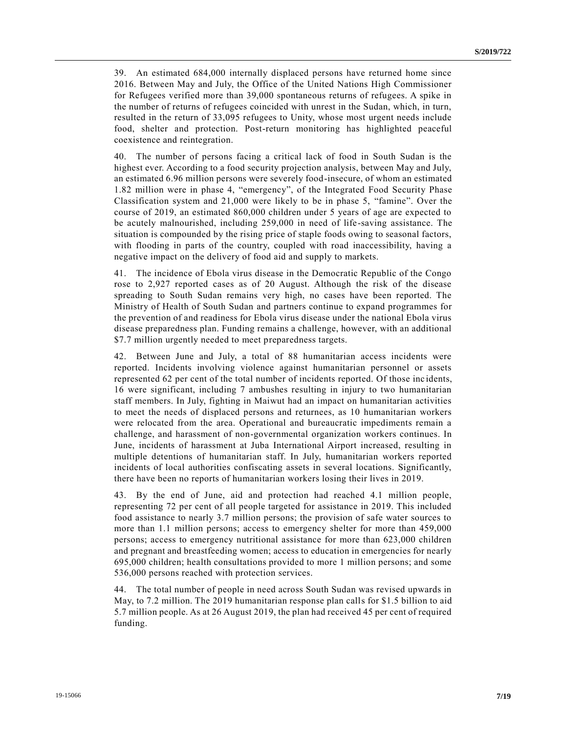39. An estimated 684,000 internally displaced persons have returned home since 2016. Between May and July, the Office of the United Nations High Commissioner for Refugees verified more than 39,000 spontaneous returns of refugees. A spike in the number of returns of refugees coincided with unrest in the Sudan, which, in turn, resulted in the return of 33,095 refugees to Unity, whose most urgent needs include food, shelter and protection. Post-return monitoring has highlighted peaceful coexistence and reintegration.

40. The number of persons facing a critical lack of food in South Sudan is the highest ever. According to a food security projection analysis, between May and July, an estimated 6.96 million persons were severely food-insecure, of whom an estimated 1.82 million were in phase 4, "emergency", of the Integrated Food Security Phase Classification system and 21,000 were likely to be in phase 5, "famine". Over the course of 2019, an estimated 860,000 children under 5 years of age are expected to be acutely malnourished, including 259,000 in need of life-saving assistance. The situation is compounded by the rising price of staple foods owing to seasonal factors, with flooding in parts of the country, coupled with road inaccessibility, having a negative impact on the delivery of food aid and supply to markets.

41. The incidence of Ebola virus disease in the Democratic Republic of the Congo rose to 2,927 reported cases as of 20 August. Although the risk of the disease spreading to South Sudan remains very high, no cases have been reported. The Ministry of Health of South Sudan and partners continue to expand programmes for the prevention of and readiness for Ebola virus disease under the national Ebola virus disease preparedness plan. Funding remains a challenge, however, with an additional \$7.7 million urgently needed to meet preparedness targets.

42. Between June and July, a total of 88 humanitarian access incidents were reported. Incidents involving violence against humanitarian personnel or assets represented 62 per cent of the total number of incidents reported. Of those inc idents, 16 were significant, including 7 ambushes resulting in injury to two humanitarian staff members. In July, fighting in Maiwut had an impact on humanitarian activities to meet the needs of displaced persons and returnees, as 10 humanitarian workers were relocated from the area. Operational and bureaucratic impediments remain a challenge, and harassment of non-governmental organization workers continues. In June, incidents of harassment at Juba International Airport increased, resulting in multiple detentions of humanitarian staff. In July, humanitarian workers reported incidents of local authorities confiscating assets in several locations. Significantly, there have been no reports of humanitarian workers losing their lives in 2019.

43. By the end of June, aid and protection had reached 4.1 million people, representing 72 per cent of all people targeted for assistance in 2019. This included food assistance to nearly 3.7 million persons; the provision of safe water sources to more than 1.1 million persons; access to emergency shelter for more than 459,000 persons; access to emergency nutritional assistance for more than 623,000 children and pregnant and breastfeeding women; access to education in emergencies for nearly 695,000 children; health consultations provided to more 1 million persons; and some 536,000 persons reached with protection services.

44. The total number of people in need across South Sudan was revised upwards in May, to 7.2 million. The 2019 humanitarian response plan calls for \$1.5 billion to aid 5.7 million people. As at 26 August 2019, the plan had received 45 per cent of required funding.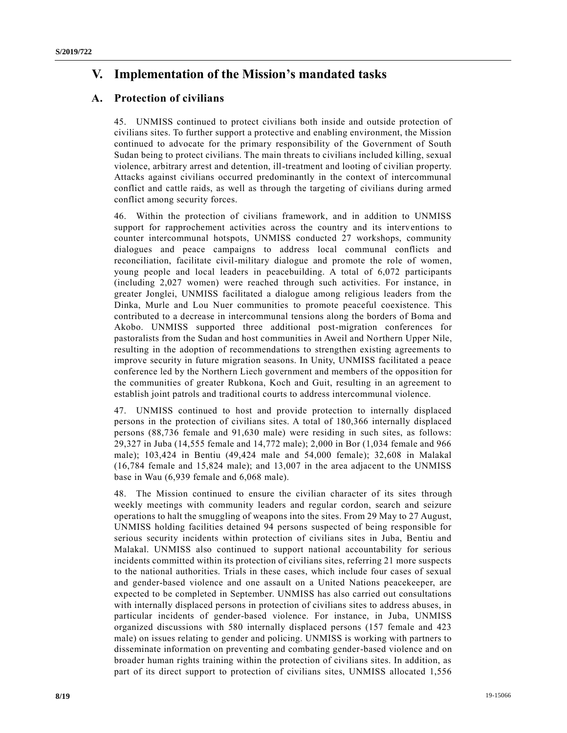# **V. Implementation of the Mission's mandated tasks**

### **A. Protection of civilians**

45. UNMISS continued to protect civilians both inside and outside protection of civilians sites. To further support a protective and enabling environment, the Mission continued to advocate for the primary responsibility of the Government of South Sudan being to protect civilians. The main threats to civilians included killing, sexual violence, arbitrary arrest and detention, ill-treatment and looting of civilian property. Attacks against civilians occurred predominantly in the context of intercommunal conflict and cattle raids, as well as through the targeting of civilians during armed conflict among security forces.

46. Within the protection of civilians framework, and in addition to UNMISS support for rapprochement activities across the country and its interventions to counter intercommunal hotspots, UNMISS conducted 27 workshops, community dialogues and peace campaigns to address local communal conflicts and reconciliation, facilitate civil-military dialogue and promote the role of women, young people and local leaders in peacebuilding. A total of 6,072 participants (including 2,027 women) were reached through such activities. For instance, in greater Jonglei, UNMISS facilitated a dialogue among religious leaders from the Dinka, Murle and Lou Nuer communities to promote peaceful coexistence. This contributed to a decrease in intercommunal tensions along the borders of Boma and Akobo. UNMISS supported three additional post-migration conferences for pastoralists from the Sudan and host communities in Aweil and Northern Upper Nile, resulting in the adoption of recommendations to strengthen existing agreements to improve security in future migration seasons. In Unity, UNMISS facilitated a peace conference led by the Northern Liech government and members of the opposition for the communities of greater Rubkona, Koch and Guit, resulting in an agreement to establish joint patrols and traditional courts to address intercommunal violence.

47. UNMISS continued to host and provide protection to internally displaced persons in the protection of civilians sites. A total of 180,366 internally displaced persons (88,736 female and 91,630 male) were residing in such sites, as follows: 29,327 in Juba (14,555 female and 14,772 male); 2,000 in Bor (1,034 female and 966 male); 103,424 in Bentiu (49,424 male and 54,000 female); 32,608 in Malakal (16,784 female and 15,824 male); and 13,007 in the area adjacent to the UNMISS base in Wau (6,939 female and 6,068 male).

48. The Mission continued to ensure the civilian character of its sites through weekly meetings with community leaders and regular cordon, search and seizure operations to halt the smuggling of weapons into the sites. From 29 May to 27 August, UNMISS holding facilities detained 94 persons suspected of being responsible for serious security incidents within protection of civilians sites in Juba, Bentiu and Malakal. UNMISS also continued to support national accountability for serious incidents committed within its protection of civilians sites, referring 21 more suspects to the national authorities. Trials in these cases, which include four cases of sexual and gender-based violence and one assault on a United Nations peacekeeper, are expected to be completed in September. UNMISS has also carried out consultations with internally displaced persons in protection of civilians sites to address abuses, in particular incidents of gender-based violence. For instance, in Juba, UNMISS organized discussions with 580 internally displaced persons (157 female and 423 male) on issues relating to gender and policing. UNMISS is working with partners to disseminate information on preventing and combating gender-based violence and on broader human rights training within the protection of civilians sites. In addition, as part of its direct support to protection of civilians sites, UNMISS allocated 1,556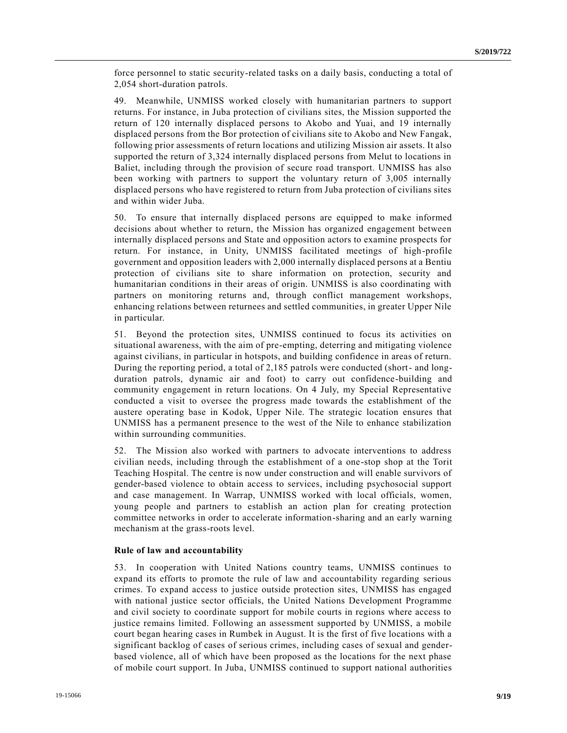force personnel to static security-related tasks on a daily basis, conducting a total of 2,054 short-duration patrols.

49. Meanwhile, UNMISS worked closely with humanitarian partners to support returns. For instance, in Juba protection of civilians sites, the Mission supported the return of 120 internally displaced persons to Akobo and Yuai, and 19 internally displaced persons from the Bor protection of civilians site to Akobo and New Fangak, following prior assessments of return locations and utilizing Mission air assets. It also supported the return of 3,324 internally displaced persons from Melut to locations in Baliet, including through the provision of secure road transport. UNMISS has also been working with partners to support the voluntary return of 3,005 internally displaced persons who have registered to return from Juba protection of civilians sites and within wider Juba.

50. To ensure that internally displaced persons are equipped to make informed decisions about whether to return, the Mission has organized engagement between internally displaced persons and State and opposition actors to examine prospects for return. For instance, in Unity, UNMISS facilitated meetings of high-profile government and opposition leaders with 2,000 internally displaced persons at a Bentiu protection of civilians site to share information on protection, security and humanitarian conditions in their areas of origin. UNMISS is also coordinating with partners on monitoring returns and, through conflict management workshops, enhancing relations between returnees and settled communities, in greater Upper Nile in particular.

51. Beyond the protection sites, UNMISS continued to focus its activities on situational awareness, with the aim of pre-empting, deterring and mitigating violence against civilians, in particular in hotspots, and building confidence in areas of return. During the reporting period, a total of 2,185 patrols were conducted (short- and longduration patrols, dynamic air and foot) to carry out confidence-building and community engagement in return locations. On 4 July, my Special Representative conducted a visit to oversee the progress made towards the establishment of the austere operating base in Kodok, Upper Nile. The strategic location ensures that UNMISS has a permanent presence to the west of the Nile to enhance stabilization within surrounding communities.

52. The Mission also worked with partners to advocate interventions to address civilian needs, including through the establishment of a one-stop shop at the Torit Teaching Hospital. The centre is now under construction and will enable survivors of gender-based violence to obtain access to services, including psychosocial support and case management. In Warrap, UNMISS worked with local officials, women, young people and partners to establish an action plan for creating protection committee networks in order to accelerate information-sharing and an early warning mechanism at the grass-roots level.

#### **Rule of law and accountability**

53. In cooperation with United Nations country teams, UNMISS continues to expand its efforts to promote the rule of law and accountability regarding serious crimes. To expand access to justice outside protection sites, UNMISS has engaged with national justice sector officials, the United Nations Development Programme and civil society to coordinate support for mobile courts in regions where access to justice remains limited. Following an assessment supported by UNMISS, a mobile court began hearing cases in Rumbek in August. It is the first of five locations with a significant backlog of cases of serious crimes, including cases of sexual and genderbased violence, all of which have been proposed as the locations for the next phase of mobile court support. In Juba, UNMISS continued to support national authorities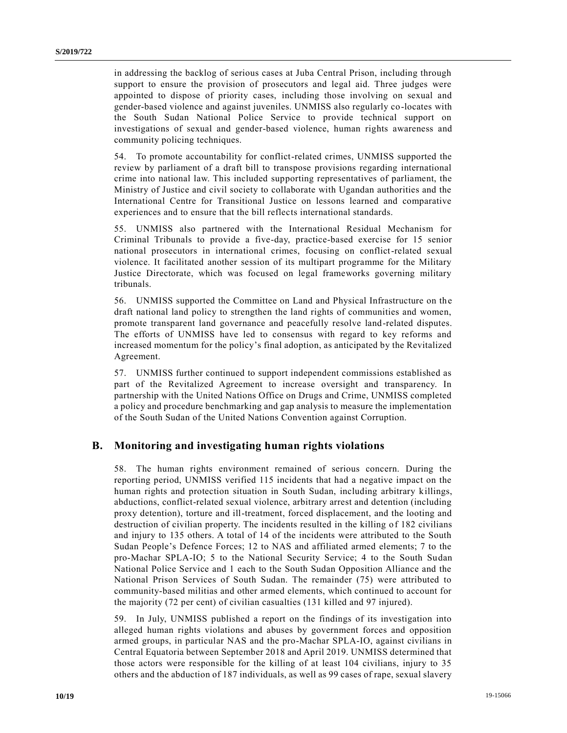in addressing the backlog of serious cases at Juba Central Prison, including through support to ensure the provision of prosecutors and legal aid. Three judges were appointed to dispose of priority cases, including those involving on sexual and gender-based violence and against juveniles. UNMISS also regularly co-locates with the South Sudan National Police Service to provide technical support on investigations of sexual and gender-based violence, human rights awareness and community policing techniques.

54. To promote accountability for conflict-related crimes, UNMISS supported the review by parliament of a draft bill to transpose provisions regarding international crime into national law. This included supporting representatives of parliament, the Ministry of Justice and civil society to collaborate with Ugandan authorities and the International Centre for Transitional Justice on lessons learned and comparative experiences and to ensure that the bill reflects international standards.

55. UNMISS also partnered with the International Residual Mechanism for Criminal Tribunals to provide a five-day, practice-based exercise for 15 senior national prosecutors in international crimes, focusing on conflict-related sexual violence. It facilitated another session of its multipart programme for the Military Justice Directorate, which was focused on legal frameworks governing military tribunals.

56. UNMISS supported the Committee on Land and Physical Infrastructure on the draft national land policy to strengthen the land rights of communities and women, promote transparent land governance and peacefully resolve land-related disputes. The efforts of UNMISS have led to consensus with regard to key reforms and increased momentum for the policy's final adoption, as anticipated by the Revitalized Agreement.

57. UNMISS further continued to support independent commissions established as part of the Revitalized Agreement to increase oversight and transparency. In partnership with the United Nations Office on Drugs and Crime, UNMISS completed a policy and procedure benchmarking and gap analysis to measure the implementation of the South Sudan of the United Nations Convention against Corruption.

### **B. Monitoring and investigating human rights violations**

58. The human rights environment remained of serious concern. During the reporting period, UNMISS verified 115 incidents that had a negative impact on the human rights and protection situation in South Sudan, including arbitrary killings, abductions, conflict-related sexual violence, arbitrary arrest and detention (including proxy detention), torture and ill-treatment, forced displacement, and the looting and destruction of civilian property. The incidents resulted in the killing of 182 civilians and injury to 135 others. A total of 14 of the incidents were attributed to the South Sudan People's Defence Forces; 12 to NAS and affiliated armed elements; 7 to the pro-Machar SPLA-IO; 5 to the National Security Service; 4 to the South Sudan National Police Service and 1 each to the South Sudan Opposition Alliance and the National Prison Services of South Sudan. The remainder (75) were attributed to community-based militias and other armed elements, which continued to account for the majority (72 per cent) of civilian casualties (131 killed and 97 injured).

59. In July, UNMISS published a report on the findings of its investigation into alleged human rights violations and abuses by government forces and opposition armed groups, in particular NAS and the pro-Machar SPLA-IO, against civilians in Central Equatoria between September 2018 and April 2019. UNMISS determined that those actors were responsible for the killing of at least 104 civilians, injury to 35 others and the abduction of 187 individuals, as well as 99 cases of rape, sexual slavery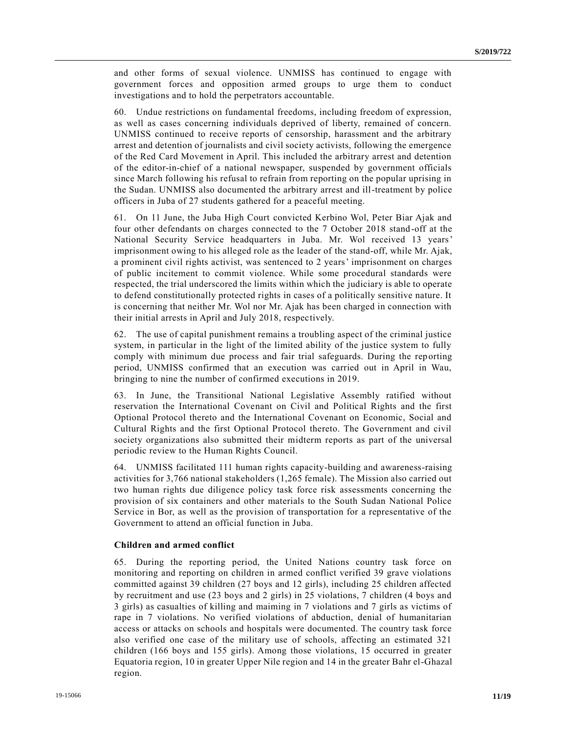and other forms of sexual violence. UNMISS has continued to engage with government forces and opposition armed groups to urge them to conduct investigations and to hold the perpetrators accountable.

60. Undue restrictions on fundamental freedoms, including freedom of expression, as well as cases concerning individuals deprived of liberty, remained of concern. UNMISS continued to receive reports of censorship, harassment and the arbitrary arrest and detention of journalists and civil society activists, following the emergence of the Red Card Movement in April. This included the arbitrary arrest and detention of the editor-in-chief of a national newspaper, suspended by government officials since March following his refusal to refrain from reporting on the popular uprising in the Sudan. UNMISS also documented the arbitrary arrest and ill-treatment by police officers in Juba of 27 students gathered for a peaceful meeting.

61. On 11 June, the Juba High Court convicted Kerbino Wol, Peter Biar Ajak and four other defendants on charges connected to the 7 October 2018 stand-off at the National Security Service headquarters in Juba. Mr. Wol received 13 years' imprisonment owing to his alleged role as the leader of the stand-off, while Mr. Ajak, a prominent civil rights activist, was sentenced to 2 years' imprisonment on charges of public incitement to commit violence. While some procedural standards were respected, the trial underscored the limits within which the judiciary is able to operate to defend constitutionally protected rights in cases of a politically sensitive nature. It is concerning that neither Mr. Wol nor Mr. Ajak has been charged in connection with their initial arrests in April and July 2018, respectively.

62. The use of capital punishment remains a troubling aspect of the criminal justice system, in particular in the light of the limited ability of the justice system to fully comply with minimum due process and fair trial safeguards. During the reporting period, UNMISS confirmed that an execution was carried out in April in Wau, bringing to nine the number of confirmed executions in 2019.

63. In June, the Transitional National Legislative Assembly ratified without reservation the International Covenant on Civil and Political Rights and the first Optional Protocol thereto and the International Covenant on Economic, Social and Cultural Rights and the first Optional Protocol thereto. The Government and civil society organizations also submitted their midterm reports as part of the universal periodic review to the Human Rights Council.

64. UNMISS facilitated 111 human rights capacity-building and awareness-raising activities for 3,766 national stakeholders (1,265 female). The Mission also carried out two human rights due diligence policy task force risk assessments concerning the provision of six containers and other materials to the South Sudan National Police Service in Bor, as well as the provision of transportation for a representative of the Government to attend an official function in Juba.

#### **Children and armed conflict**

65. During the reporting period, the United Nations country task force on monitoring and reporting on children in armed conflict verified 39 grave violations committed against 39 children (27 boys and 12 girls), including 25 children affected by recruitment and use (23 boys and 2 girls) in 25 violations, 7 children (4 boys and 3 girls) as casualties of killing and maiming in 7 violations and 7 girls as victims of rape in 7 violations. No verified violations of abduction, denial of humanitarian access or attacks on schools and hospitals were documented. The country task force also verified one case of the military use of schools, affecting an estimated 321 children (166 boys and 155 girls). Among those violations, 15 occurred in greater Equatoria region, 10 in greater Upper Nile region and 14 in the greater Bahr el-Ghazal region.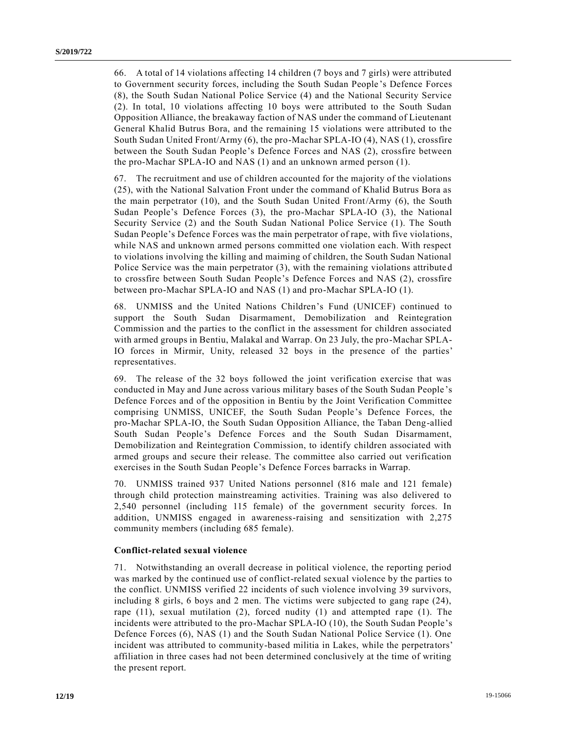66. A total of 14 violations affecting 14 children (7 boys and 7 girls) were attributed to Government security forces, including the South Sudan People 's Defence Forces (8), the South Sudan National Police Service (4) and the National Security Service (2). In total, 10 violations affecting 10 boys were attributed to the South Sudan Opposition Alliance, the breakaway faction of NAS under the command of Lieutenant General Khalid Butrus Bora, and the remaining 15 violations were attributed to the South Sudan United Front/Army (6), the pro-Machar SPLA-IO (4), NAS (1), crossfire between the South Sudan People's Defence Forces and NAS (2), crossfire between the pro-Machar SPLA-IO and NAS (1) and an unknown armed person (1).

67. The recruitment and use of children accounted for the majority of the violations (25), with the National Salvation Front under the command of Khalid Butrus Bora as the main perpetrator (10), and the South Sudan United Front/Army (6), the South Sudan People's Defence Forces (3), the pro-Machar SPLA-IO (3), the National Security Service (2) and the South Sudan National Police Service (1). The South Sudan People's Defence Forces was the main perpetrator of rape, with five violations, while NAS and unknown armed persons committed one violation each. With respect to violations involving the killing and maiming of children, the South Sudan National Police Service was the main perpetrator (3), with the remaining violations attribute d to crossfire between South Sudan People's Defence Forces and NAS (2), crossfire between pro-Machar SPLA-IO and NAS (1) and pro-Machar SPLA-IO (1).

68. UNMISS and the United Nations Children's Fund (UNICEF) continued to support the South Sudan Disarmament, Demobilization and Reintegration Commission and the parties to the conflict in the assessment for children associated with armed groups in Bentiu, Malakal and Warrap. On 23 July, the pro-Machar SPLA-IO forces in Mirmir, Unity, released 32 boys in the presence of the parties' representatives.

69. The release of the 32 boys followed the joint verification exercise that was conducted in May and June across various military bases of the South Sudan People 's Defence Forces and of the opposition in Bentiu by the Joint Verification Committee comprising UNMISS, UNICEF, the South Sudan People's Defence Forces, the pro-Machar SPLA-IO, the South Sudan Opposition Alliance, the Taban Deng-allied South Sudan People's Defence Forces and the South Sudan Disarmament, Demobilization and Reintegration Commission, to identify children associated with armed groups and secure their release. The committee also carried out verification exercises in the South Sudan People's Defence Forces barracks in Warrap.

70. UNMISS trained 937 United Nations personnel (816 male and 121 female) through child protection mainstreaming activities. Training was also delivered to 2,540 personnel (including 115 female) of the government security forces. In addition, UNMISS engaged in awareness-raising and sensitization with 2,275 community members (including 685 female).

#### **Conflict-related sexual violence**

71. Notwithstanding an overall decrease in political violence, the reporting period was marked by the continued use of conflict-related sexual violence by the parties to the conflict. UNMISS verified 22 incidents of such violence involving 39 survivors, including 8 girls, 6 boys and 2 men. The victims were subjected to gang rape (24), rape  $(11)$ , sexual mutilation  $(2)$ , forced nudity  $(1)$  and attempted rape  $(1)$ . The incidents were attributed to the pro-Machar SPLA-IO (10), the South Sudan People's Defence Forces (6), NAS (1) and the South Sudan National Police Service (1). One incident was attributed to community-based militia in Lakes, while the perpetrators' affiliation in three cases had not been determined conclusively at the time of writing the present report.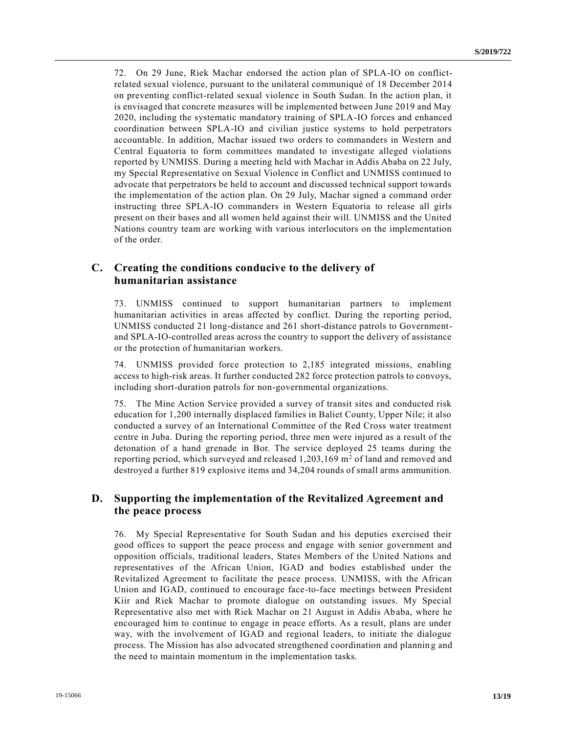72. On 29 June, Riek Machar endorsed the action plan of SPLA-IO on conflictrelated sexual violence, pursuant to the unilateral communiqué of 18 December 2014 on preventing conflict-related sexual violence in South Sudan. In the action plan, it is envisaged that concrete measures will be implemented between June 2019 and May 2020, including the systematic mandatory training of SPLA-IO forces and enhanced coordination between SPLA-IO and civilian justice systems to hold perpetrators accountable. In addition, Machar issued two orders to commanders in Western and Central Equatoria to form committees mandated to investigate alleged violations reported by UNMISS. During a meeting held with Machar in Addis Ababa on 22 July, my Special Representative on Sexual Violence in Conflict and UNMISS continued to advocate that perpetrators be held to account and discussed technical support towards the implementation of the action plan. On 29 July, Machar signed a command order instructing three SPLA-IO commanders in Western Equatoria to release all girls present on their bases and all women held against their will. UNMISS and the United Nations country team are working with various interlocutors on the implementation of the order.

### **C. Creating the conditions conducive to the delivery of humanitarian assistance**

73. UNMISS continued to support humanitarian partners to implement humanitarian activities in areas affected by conflict. During the reporting period, UNMISS conducted 21 long-distance and 261 short-distance patrols to Governmentand SPLA-IO-controlled areas across the country to support the delivery of assistance or the protection of humanitarian workers.

74. UNMISS provided force protection to 2,185 integrated missions, enabling access to high-risk areas. It further conducted 282 force protection patrols to convoys, including short-duration patrols for non-governmental organizations.

75. The Mine Action Service provided a survey of transit sites and conducted risk education for 1,200 internally displaced families in Baliet County, Upper Nile; it also conducted a survey of an International Committee of the Red Cross water treatment centre in Juba. During the reporting period, three men were injured as a result of the detonation of a hand grenade in Bor. The service deployed 25 teams during the reporting period, which surveyed and released  $1,203,169$  m<sup>2</sup> of land and removed and destroyed a further 819 explosive items and 34,204 rounds of small arms ammunition.

### **D. Supporting the implementation of the Revitalized Agreement and the peace process**

76. My Special Representative for South Sudan and his deputies exercised their good offices to support the peace process and engage with senior government and opposition officials, traditional leaders, States Members of the United Nations and representatives of the African Union, IGAD and bodies established under the Revitalized Agreement to facilitate the peace process. UNMISS, with the African Union and IGAD, continued to encourage face-to-face meetings between President Kiir and Riek Machar to promote dialogue on outstanding issues. My Special Representative also met with Riek Machar on 21 August in Addis Ababa, where he encouraged him to continue to engage in peace efforts. As a result, plans are under way, with the involvement of IGAD and regional leaders, to initiate the dialogue process. The Mission has also advocated strengthened coordination and plannin g and the need to maintain momentum in the implementation tasks.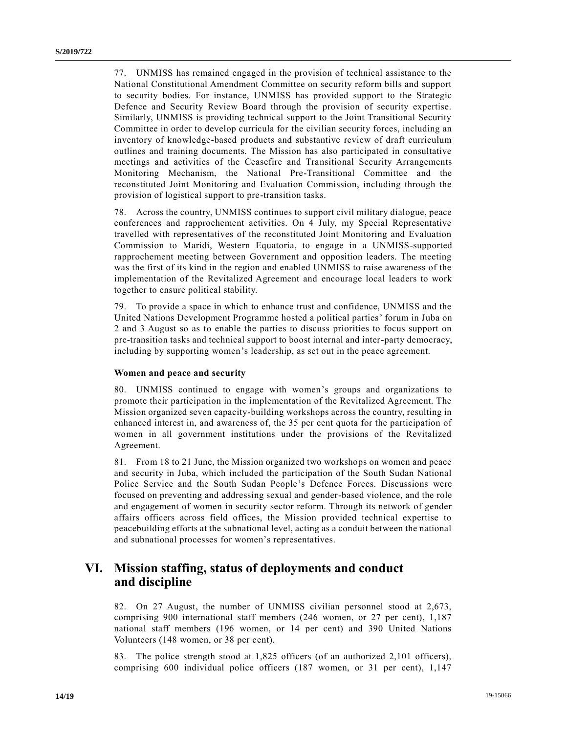77. UNMISS has remained engaged in the provision of technical assistance to the National Constitutional Amendment Committee on security reform bills and support to security bodies. For instance, UNMISS has provided support to the Strategic Defence and Security Review Board through the provision of security expertise. Similarly, UNMISS is providing technical support to the Joint Transitional Security Committee in order to develop curricula for the civilian security forces, including an inventory of knowledge-based products and substantive review of draft curriculum outlines and training documents. The Mission has also participated in consultative meetings and activities of the Ceasefire and Transitional Security Arrangements Monitoring Mechanism, the National Pre-Transitional Committee and the reconstituted Joint Monitoring and Evaluation Commission, including through the provision of logistical support to pre-transition tasks.

78. Across the country, UNMISS continues to support civil military dialogue, peace conferences and rapprochement activities. On 4 July, my Special Representative travelled with representatives of the reconstituted Joint Monitoring and Evaluation Commission to Maridi, Western Equatoria, to engage in a UNMISS-supported rapprochement meeting between Government and opposition leaders. The meeting was the first of its kind in the region and enabled UNMISS to raise awareness of the implementation of the Revitalized Agreement and encourage local leaders to work together to ensure political stability.

79. To provide a space in which to enhance trust and confidence, UNMISS and the United Nations Development Programme hosted a political parties' forum in Juba on 2 and 3 August so as to enable the parties to discuss priorities to focus support on pre-transition tasks and technical support to boost internal and inter-party democracy, including by supporting women's leadership, as set out in the peace agreement.

#### **Women and peace and security**

80. UNMISS continued to engage with women's groups and organizations to promote their participation in the implementation of the Revitalized Agreement. The Mission organized seven capacity-building workshops across the country, resulting in enhanced interest in, and awareness of, the 35 per cent quota for the participation of women in all government institutions under the provisions of the Revitalized Agreement.

81. From 18 to 21 June, the Mission organized two workshops on women and peace and security in Juba, which included the participation of the South Sudan National Police Service and the South Sudan People's Defence Forces. Discussions were focused on preventing and addressing sexual and gender-based violence, and the role and engagement of women in security sector reform. Through its network of gender affairs officers across field offices, the Mission provided technical expertise to peacebuilding efforts at the subnational level, acting as a conduit between the national and subnational processes for women's representatives.

## **VI. Mission staffing, status of deployments and conduct and discipline**

82. On 27 August, the number of UNMISS civilian personnel stood at 2,673, comprising 900 international staff members (246 women, or 27 per cent), 1,187 national staff members (196 women, or 14 per cent) and 390 United Nations Volunteers (148 women, or 38 per cent).

83. The police strength stood at 1,825 officers (of an authorized 2,101 officers), comprising 600 individual police officers (187 women, or 31 per cent), 1,147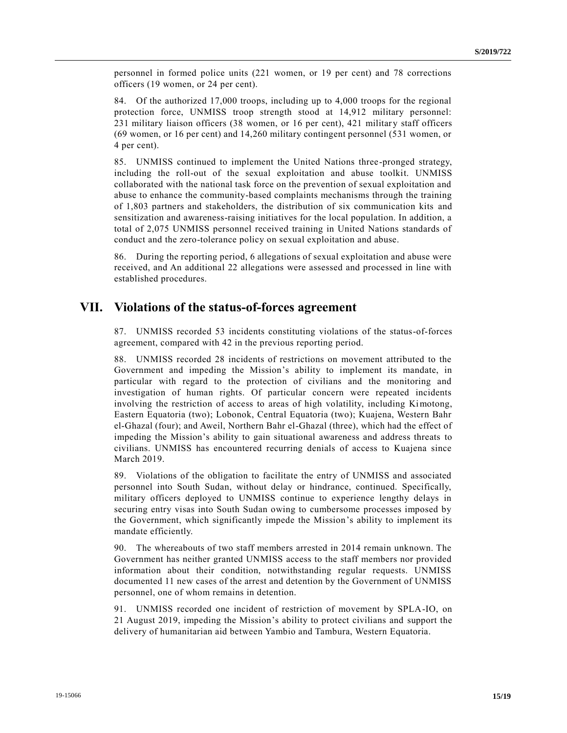personnel in formed police units (221 women, or 19 per cent) and 78 corrections officers (19 women, or 24 per cent).

84. Of the authorized 17,000 troops, including up to 4,000 troops for the regional protection force, UNMISS troop strength stood at 14,912 military personnel: 231 military liaison officers (38 women, or 16 per cent), 421 military staff officers (69 women, or 16 per cent) and 14,260 military contingent personnel (531 women, or 4 per cent).

85. UNMISS continued to implement the United Nations three-pronged strategy, including the roll-out of the sexual exploitation and abuse toolkit. UNMISS collaborated with the national task force on the prevention of sexual exploitation and abuse to enhance the community-based complaints mechanisms through the training of 1,803 partners and stakeholders, the distribution of six communication kits and sensitization and awareness-raising initiatives for the local population. In addition, a total of 2,075 UNMISS personnel received training in United Nations standards of conduct and the zero-tolerance policy on sexual exploitation and abuse.

86. During the reporting period, 6 allegations of sexual exploitation and abuse were received, and An additional 22 allegations were assessed and processed in line with established procedures.

## **VII. Violations of the status-of-forces agreement**

87. UNMISS recorded 53 incidents constituting violations of the status-of-forces agreement, compared with 42 in the previous reporting period.

88. UNMISS recorded 28 incidents of restrictions on movement attributed to the Government and impeding the Mission's ability to implement its mandate, in particular with regard to the protection of civilians and the monitoring and investigation of human rights. Of particular concern were repeated incidents involving the restriction of access to areas of high volatility, including Kimotong, Eastern Equatoria (two); Lobonok, Central Equatoria (two); Kuajena, Western Bahr el-Ghazal (four); and Aweil, Northern Bahr el-Ghazal (three), which had the effect of impeding the Mission's ability to gain situational awareness and address threats to civilians. UNMISS has encountered recurring denials of access to Kuajena since March 2019.

89. Violations of the obligation to facilitate the entry of UNMISS and associated personnel into South Sudan, without delay or hindrance, continued. Specifically, military officers deployed to UNMISS continue to experience lengthy delays in securing entry visas into South Sudan owing to cumbersome processes imposed by the Government, which significantly impede the Mission's ability to implement its mandate efficiently.

90. The whereabouts of two staff members arrested in 2014 remain unknown. The Government has neither granted UNMISS access to the staff members nor provided information about their condition, notwithstanding regular requests. UNMISS documented 11 new cases of the arrest and detention by the Government of UNMISS personnel, one of whom remains in detention.

91. UNMISS recorded one incident of restriction of movement by SPLA-IO, on 21 August 2019, impeding the Mission's ability to protect civilians and support the delivery of humanitarian aid between Yambio and Tambura, Western Equatoria.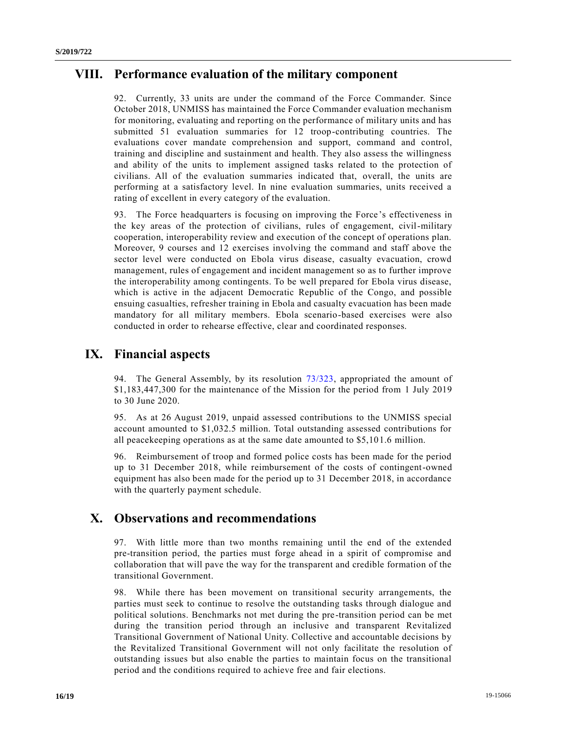## **VIII. Performance evaluation of the military component**

92. Currently, 33 units are under the command of the Force Commander. Since October 2018, UNMISS has maintained the Force Commander evaluation mechanism for monitoring, evaluating and reporting on the performance of military units and has submitted 51 evaluation summaries for 12 troop-contributing countries. The evaluations cover mandate comprehension and support, command and control, training and discipline and sustainment and health. They also assess the willingness and ability of the units to implement assigned tasks related to the protection of civilians. All of the evaluation summaries indicated that, overall, the units are performing at a satisfactory level. In nine evaluation summaries, units received a rating of excellent in every category of the evaluation.

93. The Force headquarters is focusing on improving the Force's effectiveness in the key areas of the protection of civilians, rules of engagement, civil-military cooperation, interoperability review and execution of the concept of operations plan. Moreover, 9 courses and 12 exercises involving the command and staff above the sector level were conducted on Ebola virus disease, casualty evacuation, crowd management, rules of engagement and incident management so as to further improve the interoperability among contingents. To be well prepared for Ebola virus disease, which is active in the adjacent Democratic Republic of the Congo, and possible ensuing casualties, refresher training in Ebola and casualty evacuation has been made mandatory for all military members. Ebola scenario-based exercises were also conducted in order to rehearse effective, clear and coordinated responses.

## **IX. Financial aspects**

94. The General Assembly, by its resolution [73/323,](https://undocs.org/en/A/RES/73/323) appropriated the amount of \$1,183,447,300 for the maintenance of the Mission for the period from 1 July 2019 to 30 June 2020.

95. As at 26 August 2019, unpaid assessed contributions to the UNMISS special account amounted to \$1,032.5 million. Total outstanding assessed contributions for all peacekeeping operations as at the same date amounted to \$5,101.6 million.

96. Reimbursement of troop and formed police costs has been made for the period up to 31 December 2018, while reimbursement of the costs of contingent-owned equipment has also been made for the period up to 31 December 2018, in accordance with the quarterly payment schedule.

# **X. Observations and recommendations**

97. With little more than two months remaining until the end of the extended pre-transition period, the parties must forge ahead in a spirit of compromise and collaboration that will pave the way for the transparent and credible formation of the transitional Government.

98. While there has been movement on transitional security arrangements, the parties must seek to continue to resolve the outstanding tasks through dialogue and political solutions. Benchmarks not met during the pre-transition period can be met during the transition period through an inclusive and transparent Revitalized Transitional Government of National Unity. Collective and accountable decisions by the Revitalized Transitional Government will not only facilitate the resolution of outstanding issues but also enable the parties to maintain focus on the transitional period and the conditions required to achieve free and fair elections.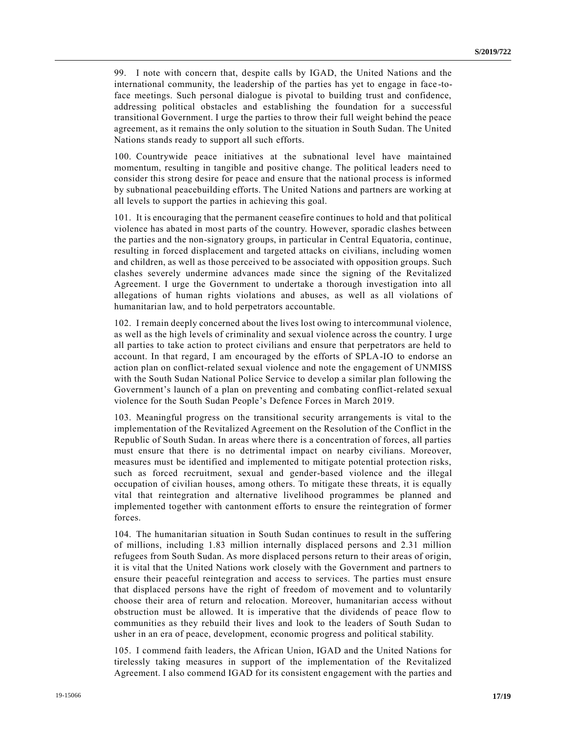99. I note with concern that, despite calls by IGAD, the United Nations and the international community, the leadership of the parties has yet to engage in face -toface meetings. Such personal dialogue is pivotal to building trust and confidence, addressing political obstacles and establishing the foundation for a successful transitional Government. I urge the parties to throw their full weight behind the peace agreement, as it remains the only solution to the situation in South Sudan. The United Nations stands ready to support all such efforts.

100. Countrywide peace initiatives at the subnational level have maintained momentum, resulting in tangible and positive change. The political leaders need to consider this strong desire for peace and ensure that the national process is informed by subnational peacebuilding efforts. The United Nations and partners are working at all levels to support the parties in achieving this goal.

101. It is encouraging that the permanent ceasefire continues to hold and that political violence has abated in most parts of the country. However, sporadic clashes between the parties and the non-signatory groups, in particular in Central Equatoria, continue, resulting in forced displacement and targeted attacks on civilians, including women and children, as well as those perceived to be associated with opposition groups. Such clashes severely undermine advances made since the signing of the Revitalized Agreement. I urge the Government to undertake a thorough investigation into all allegations of human rights violations and abuses, as well as all violations of humanitarian law, and to hold perpetrators accountable.

102. I remain deeply concerned about the lives lost owing to intercommunal violence, as well as the high levels of criminality and sexual violence across the country. I urge all parties to take action to protect civilians and ensure that perpetrators are held to account. In that regard, I am encouraged by the efforts of SPLA-IO to endorse an action plan on conflict-related sexual violence and note the engagement of UNMISS with the South Sudan National Police Service to develop a similar plan following the Government's launch of a plan on preventing and combating conflict-related sexual violence for the South Sudan People's Defence Forces in March 2019.

103. Meaningful progress on the transitional security arrangements is vital to the implementation of the Revitalized Agreement on the Resolution of the Conflict in the Republic of South Sudan. In areas where there is a concentration of forces, all parties must ensure that there is no detrimental impact on nearby civilians. Moreover, measures must be identified and implemented to mitigate potential protection risks, such as forced recruitment, sexual and gender-based violence and the illegal occupation of civilian houses, among others. To mitigate these threats, it is equally vital that reintegration and alternative livelihood programmes be planned and implemented together with cantonment efforts to ensure the reintegration of former forces.

104. The humanitarian situation in South Sudan continues to result in the suffering of millions, including 1.83 million internally displaced persons and 2.31 million refugees from South Sudan. As more displaced persons return to their areas of origin, it is vital that the United Nations work closely with the Government and partners to ensure their peaceful reintegration and access to services. The parties must ensure that displaced persons have the right of freedom of movement and to voluntarily choose their area of return and relocation. Moreover, humanitarian access without obstruction must be allowed. It is imperative that the dividends of peace flow to communities as they rebuild their lives and look to the leaders of South Sudan to usher in an era of peace, development, economic progress and political stability.

105. I commend faith leaders, the African Union, IGAD and the United Nations for tirelessly taking measures in support of the implementation of the Revitalized Agreement. I also commend IGAD for its consistent engagement with the parties and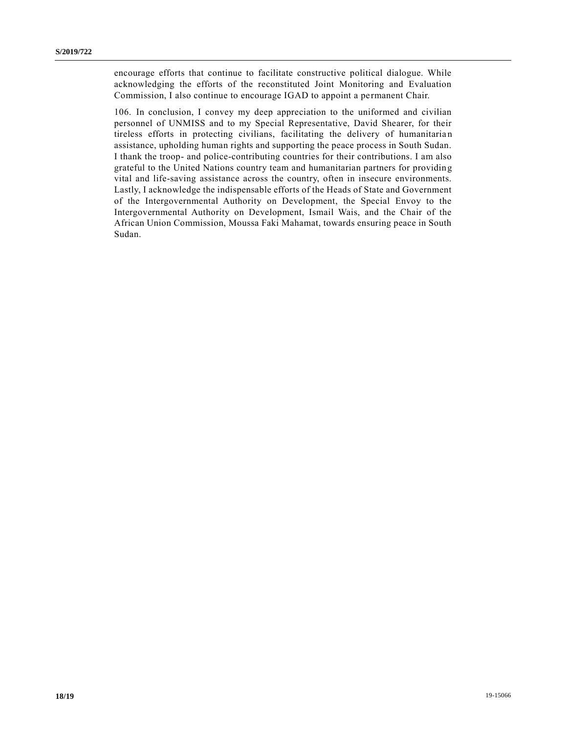encourage efforts that continue to facilitate constructive political dialogue. While acknowledging the efforts of the reconstituted Joint Monitoring and Evaluation Commission, I also continue to encourage IGAD to appoint a permanent Chair.

106. In conclusion, I convey my deep appreciation to the uniformed and civilian personnel of UNMISS and to my Special Representative, David Shearer, for their tireless efforts in protecting civilians, facilitating the delivery of humanitaria n assistance, upholding human rights and supporting the peace process in South Sudan. I thank the troop- and police-contributing countries for their contributions. I am also grateful to the United Nations country team and humanitarian partners for providin g vital and life-saving assistance across the country, often in insecure environments. Lastly, I acknowledge the indispensable efforts of the Heads of State and Government of the Intergovernmental Authority on Development, the Special Envoy to the Intergovernmental Authority on Development, Ismail Wais, and the Chair of the African Union Commission, Moussa Faki Mahamat, towards ensuring peace in South Sudan.